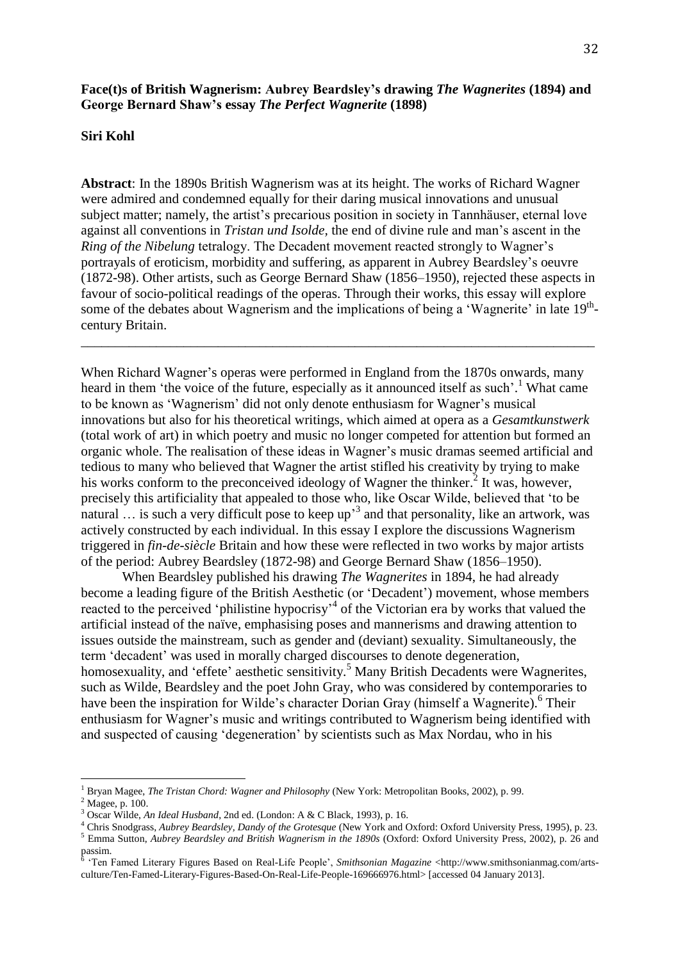## **Siri Kohl**

**Abstract**: In the 1890s British Wagnerism was at its height. The works of Richard Wagner were admired and condemned equally for their daring musical innovations and unusual subject matter; namely, the artist's precarious position in society in Tannhäuser, eternal love against all conventions in *Tristan und Isolde,* the end of divine rule and man's ascent in the *Ring of the Nibelung* tetralogy. The Decadent movement reacted strongly to Wagner's portrayals of eroticism, morbidity and suffering, as apparent in Aubrey Beardsley's oeuvre (1872-98). Other artists, such as George Bernard Shaw (1856–1950), rejected these aspects in favour of socio-political readings of the operas. Through their works, this essay will explore some of the debates about Wagnerism and the implications of being a 'Wagnerite' in late 19<sup>th</sup>century Britain.

\_\_\_\_\_\_\_\_\_\_\_\_\_\_\_\_\_\_\_\_\_\_\_\_\_\_\_\_\_\_\_\_\_\_\_\_\_\_\_\_\_\_\_\_\_\_\_\_\_\_\_\_\_\_\_\_\_\_\_\_\_\_\_\_\_\_\_\_\_\_\_\_\_\_\_

When Richard Wagner's operas were performed in England from the 1870s onwards, many heard in them 'the voice of the future, especially as it announced itself as such'.<sup>1</sup> What came to be known as 'Wagnerism' did not only denote enthusiasm for Wagner's musical innovations but also for his theoretical writings, which aimed at opera as a *Gesamtkunstwerk* (total work of art) in which poetry and music no longer competed for attention but formed an organic whole. The realisation of these ideas in Wagner's music dramas seemed artificial and tedious to many who believed that Wagner the artist stifled his creativity by trying to make his works conform to the preconceived ideology of Wagner the thinker.<sup>2</sup> It was, however, precisely this artificiality that appealed to those who, like Oscar Wilde, believed that 'to be natural  $\ldots$  is such a very difficult pose to keep up<sup>3</sup> and that personality, like an artwork, was actively constructed by each individual. In this essay I explore the discussions Wagnerism triggered in *fin-de-siècle* Britain and how these were reflected in two works by major artists of the period: Aubrey Beardsley (1872-98) and George Bernard Shaw (1856–1950).

When Beardsley published his drawing *The Wagnerites* in 1894, he had already become a leading figure of the British Aesthetic (or 'Decadent') movement, whose members reacted to the perceived 'philistine hypocrisy<sup>4</sup> of the Victorian era by works that valued the artificial instead of the naïve, emphasising poses and mannerisms and drawing attention to issues outside the mainstream, such as gender and (deviant) sexuality. Simultaneously, the term 'decadent' was used in morally charged discourses to denote degeneration, homosexuality, and 'effete' aesthetic sensitivity.<sup>5</sup> Many British Decadents were Wagnerites, such as Wilde, Beardsley and the poet John Gray, who was considered by contemporaries to have been the inspiration for Wilde's character Dorian Gray (himself a Wagnerite).<sup>6</sup> Their enthusiasm for Wagner's music and writings contributed to Wagnerism being identified with and suspected of causing 'degeneration' by scientists such as Max Nordau, who in his

<sup>1</sup> Bryan Magee, *The Tristan Chord: Wagner and Philosophy* (New York: Metropolitan Books, 2002), p. 99.

Magee, p. 100.

<sup>3</sup> Oscar Wilde, *An Ideal Husband*, 2nd ed. (London: A & C Black, 1993), p. 16.

<sup>4</sup> Chris Snodgrass, *Aubrey Beardsley, Dandy of the Grotesque* (New York and Oxford: Oxford University Press, 1995), p. 23.

<sup>5</sup> Emma Sutton, *Aubrey Beardsley and British Wagnerism in the 1890s* (Oxford: Oxford University Press, 2002), p. 26 and passim. 6 'Ten Famed Literary Figures Based on Real-Life People', *Smithsonian Magazine* <http://www.smithsonianmag.com/arts-

culture/Ten-Famed-Literary-Figures-Based-On-Real-Life-People-169666976.html> [accessed 04 January 2013].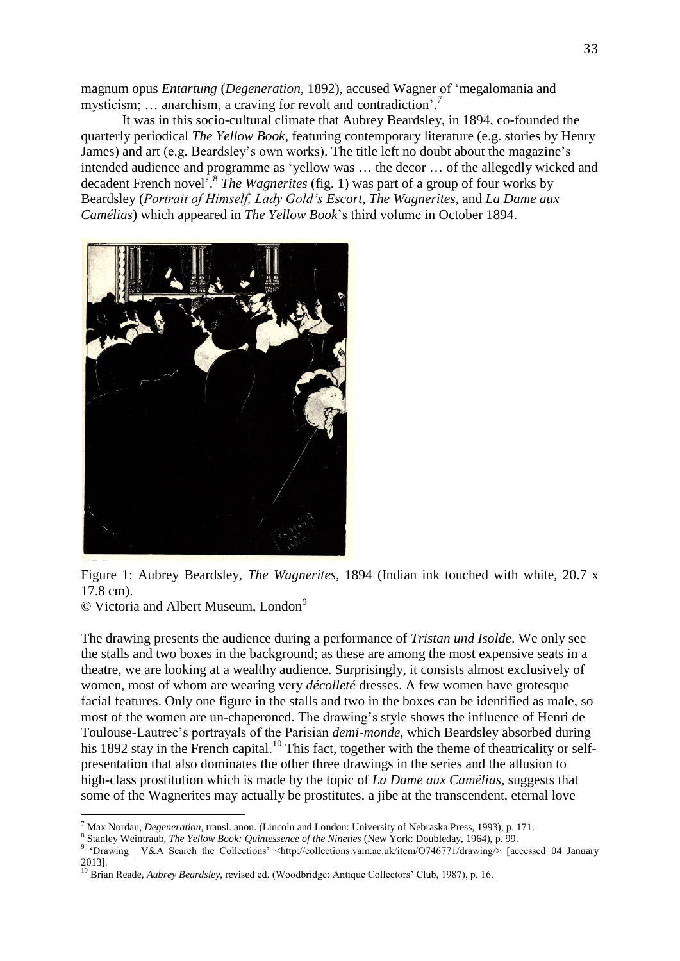magnum opus *Entartung* (*Degeneration*, 1892), accused Wagner of 'megalomania and mysticism; ... anarchism, a craving for revolt and contradiction'.<sup>7</sup>

It was in this socio-cultural climate that Aubrey Beardsley, in 1894, co-founded the quarterly periodical *The Yellow Book*, featuring contemporary literature (e.g. stories by Henry James) and art (e.g. Beardsley's own works). The title left no doubt about the magazine's intended audience and programme as 'yellow was … the decor … of the allegedly wicked and decadent French novel'. 8 *The Wagnerites* (fig. 1) was part of a group of four works by Beardsley (*Portrait of Himself, Lady Gold's Escort, The Wagnerites,* and *La Dame aux Camélias*) which appeared in *The Yellow Book*'s third volume in October 1894.



Figure 1: Aubrey Beardsley, *The Wagnerites*, 1894 (Indian ink touched with white, 20.7 x 17.8 cm).

© Victoria and Albert Museum, London<sup>9</sup>

 $\overline{a}$ 

The drawing presents the audience during a performance of *Tristan und Isolde*. We only see the stalls and two boxes in the background; as these are among the most expensive seats in a theatre, we are looking at a wealthy audience. Surprisingly, it consists almost exclusively of women, most of whom are wearing very *décolleté* dresses. A few women have grotesque facial features. Only one figure in the stalls and two in the boxes can be identified as male, so most of the women are un-chaperoned. The drawing's style shows the influence of Henri de Toulouse-Lautrec's portrayals of the Parisian *demi-monde*, which Beardsley absorbed during his 1892 stay in the French capital.<sup>10</sup> This fact, together with the theme of theatricality or selfpresentation that also dominates the other three drawings in the series and the allusion to high-class prostitution which is made by the topic of *La Dame aux Camélias*, suggests that some of the Wagnerites may actually be prostitutes, a jibe at the transcendent, eternal love

<sup>7</sup> Max Nordau, *Degeneration*, transl. anon. (Lincoln and London: University of Nebraska Press, 1993), p. 171.

<sup>8</sup> Stanley Weintraub, *The Yellow Book: Quintessence of the Nineties* (New York: Doubleday, 1964), p. 99.

<sup>&</sup>lt;sup>9</sup> 'Drawing | V&A Search the Collections' <http://collections.vam.ac.uk/item/O746771/drawing/> [accessed 04 January 2013].

<sup>10</sup> Brian Reade, *Aubrey Beardsley*, revised ed. (Woodbridge: Antique Collectors' Club, 1987), p. 16.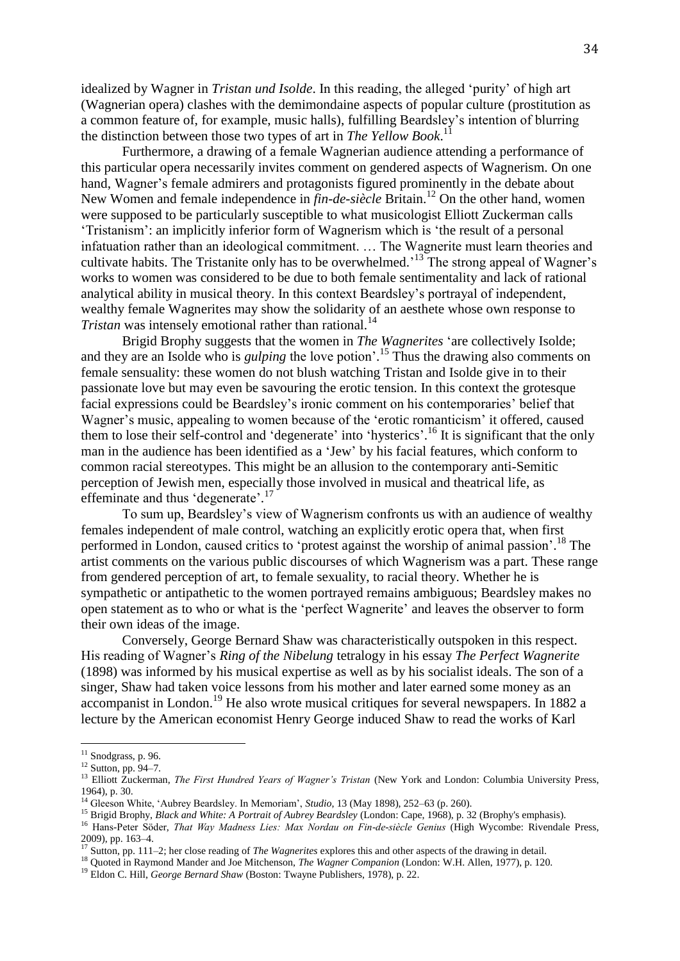idealized by Wagner in *Tristan und Isolde*. In this reading, the alleged 'purity' of high art (Wagnerian opera) clashes with the demimondaine aspects of popular culture (prostitution as a common feature of, for example, music halls), fulfilling Beardsley's intention of blurring the distinction between those two types of art in *The Yellow Book*. 11

Furthermore, a drawing of a female Wagnerian audience attending a performance of this particular opera necessarily invites comment on gendered aspects of Wagnerism. On one hand, Wagner's female admirers and protagonists figured prominently in the debate about New Women and female independence in *fin-de-siècle* Britain.<sup>12</sup> On the other hand, women were supposed to be particularly susceptible to what musicologist Elliott Zuckerman calls 'Tristanism': an implicitly inferior form of Wagnerism which is 'the result of a personal infatuation rather than an ideological commitment. … The Wagnerite must learn theories and cultivate habits. The Tristanite only has to be overwhelmed.<sup>13</sup> The strong appeal of Wagner's works to women was considered to be due to both female sentimentality and lack of rational analytical ability in musical theory. In this context Beardsley's portrayal of independent, wealthy female Wagnerites may show the solidarity of an aesthete whose own response to *Tristan* was intensely emotional rather than rational.<sup>14</sup>

Brigid Brophy suggests that the women in *The Wagnerites* 'are collectively Isolde; and they are an Isolde who is *gulping* the love potion'. <sup>15</sup> Thus the drawing also comments on female sensuality: these women do not blush watching Tristan and Isolde give in to their passionate love but may even be savouring the erotic tension. In this context the grotesque facial expressions could be Beardsley's ironic comment on his contemporaries' belief that Wagner's music, appealing to women because of the 'erotic romanticism' it offered, caused them to lose their self-control and 'degenerate' into 'hysterics'.<sup>16</sup> It is significant that the only man in the audience has been identified as a 'Jew' by his facial features, which conform to common racial stereotypes. This might be an allusion to the contemporary anti-Semitic perception of Jewish men, especially those involved in musical and theatrical life, as effeminate and thus 'degenerate'.<sup>17</sup>

To sum up, Beardsley's view of Wagnerism confronts us with an audience of wealthy females independent of male control, watching an explicitly erotic opera that, when first performed in London, caused critics to 'protest against the worship of animal passion'. <sup>18</sup> The artist comments on the various public discourses of which Wagnerism was a part. These range from gendered perception of art, to female sexuality, to racial theory. Whether he is sympathetic or antipathetic to the women portrayed remains ambiguous; Beardsley makes no open statement as to who or what is the 'perfect Wagnerite' and leaves the observer to form their own ideas of the image.

Conversely, George Bernard Shaw was characteristically outspoken in this respect. His reading of Wagner's *Ring of the Nibelung* tetralogy in his essay *The Perfect Wagnerite* (1898) was informed by his musical expertise as well as by his socialist ideals. The son of a singer, Shaw had taken voice lessons from his mother and later earned some money as an accompanist in London.<sup>19</sup> He also wrote musical critiques for several newspapers. In 1882 a lecture by the American economist Henry George induced Shaw to read the works of Karl

 $11$  Snodgrass, p. 96.

<sup>12</sup> Sutton, pp. 94–7.

<sup>&</sup>lt;sup>13</sup> Elliott Zuckerman, *The First Hundred Years of Wagner's Tristan* (New York and London: Columbia University Press, 1964), p. 30.

<sup>14</sup> Gleeson White, 'Aubrey Beardsley. In Memoriam', *Studio*, 13 (May 1898), 252–63 (p. 260).

<sup>15</sup> Brigid Brophy, *Black and White: A Portrait of Aubrey Beardsley* (London: Cape, 1968), p. 32 (Brophy's emphasis).

<sup>&</sup>lt;sup>16</sup> Hans-Peter Söder, *That Way Madness Lies: Max Nordau on Fin-de-siècle Genius* (High Wycombe: Rivendale Press, 2009), pp. 163–4.

<sup>17</sup> Sutton, pp. 111–2; her close reading of *The Wagnerites* explores this and other aspects of the drawing in detail.

<sup>18</sup> Quoted in Raymond Mander and Joe Mitchenson, *The Wagner Companion* (London: W.H. Allen, 1977), p. 120.

<sup>19</sup> Eldon C. Hill, *George Bernard Shaw* (Boston: Twayne Publishers, 1978), p. 22.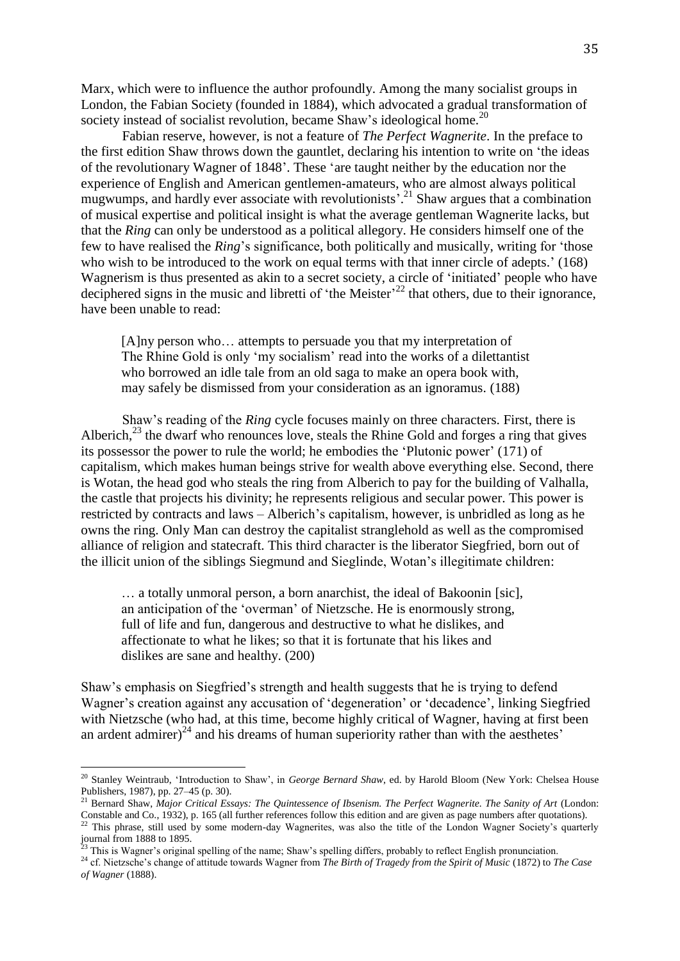Marx, which were to influence the author profoundly. Among the many socialist groups in London, the Fabian Society (founded in 1884), which advocated a gradual transformation of society instead of socialist revolution, became Shaw's ideological home.<sup>20</sup>

Fabian reserve, however, is not a feature of *The Perfect Wagnerite*. In the preface to the first edition Shaw throws down the gauntlet, declaring his intention to write on 'the ideas of the revolutionary Wagner of 1848'. These 'are taught neither by the education nor the experience of English and American gentlemen-amateurs, who are almost always political mugwumps, and hardly ever associate with revolutionists<sup>'</sup>.<sup>21</sup> Shaw argues that a combination of musical expertise and political insight is what the average gentleman Wagnerite lacks, but that the *Ring* can only be understood as a political allegory. He considers himself one of the few to have realised the *Ring*'s significance, both politically and musically, writing for 'those who wish to be introduced to the work on equal terms with that inner circle of adepts.' (168) Wagnerism is thus presented as akin to a secret society, a circle of 'initiated' people who have deciphered signs in the music and libretti of 'the Meister'<sup>22</sup> that others, due to their ignorance, have been unable to read:

[A]ny person who… attempts to persuade you that my interpretation of The Rhine Gold is only 'my socialism' read into the works of a dilettantist who borrowed an idle tale from an old saga to make an opera book with, may safely be dismissed from your consideration as an ignoramus. (188)

Shaw's reading of the *Ring* cycle focuses mainly on three characters. First, there is Alberich, $^{23}$  the dwarf who renounces love, steals the Rhine Gold and forges a ring that gives its possessor the power to rule the world; he embodies the 'Plutonic power' (171) of capitalism, which makes human beings strive for wealth above everything else. Second, there is Wotan, the head god who steals the ring from Alberich to pay for the building of Valhalla, the castle that projects his divinity; he represents religious and secular power. This power is restricted by contracts and laws – Alberich's capitalism, however, is unbridled as long as he owns the ring. Only Man can destroy the capitalist stranglehold as well as the compromised alliance of religion and statecraft. This third character is the liberator Siegfried, born out of the illicit union of the siblings Siegmund and Sieglinde, Wotan's illegitimate children:

… a totally unmoral person, a born anarchist, the ideal of Bakoonin [sic], an anticipation of the 'overman' of Nietzsche. He is enormously strong, full of life and fun, dangerous and destructive to what he dislikes, and affectionate to what he likes; so that it is fortunate that his likes and dislikes are sane and healthy. (200)

Shaw's emphasis on Siegfried's strength and health suggests that he is trying to defend Wagner's creation against any accusation of 'degeneration' or 'decadence', linking Siegfried with Nietzsche (who had, at this time, become highly critical of Wagner, having at first been an ardent admirer) $^{24}$  and his dreams of human superiority rather than with the aesthetes'

<sup>20</sup> Stanley Weintraub, 'Introduction to Shaw', in *George Bernard Shaw*, ed. by Harold Bloom (New York: Chelsea House Publishers, 1987), pp. 27–45 (p. 30).

<sup>21</sup> Bernard Shaw, *Major Critical Essays: The Quintessence of Ibsenism. The Perfect Wagnerite. The Sanity of Art* (London: Constable and Co., 1932), p. 165 (all further references follow this edition and are given as page numbers after quotations).

 $^{22}$  This phrase, still used by some modern-day Wagnerites, was also the title of the London Wagner Society's quarterly journal from 1888 to 1895.

 $^{23}$  This is Wagner's original spelling of the name; Shaw's spelling differs, probably to reflect English pronunciation.

<sup>24</sup> cf. Nietzsche's change of attitude towards Wagner from *The Birth of Tragedy from the Spirit of Music* (1872) to *The Case of Wagner* (1888).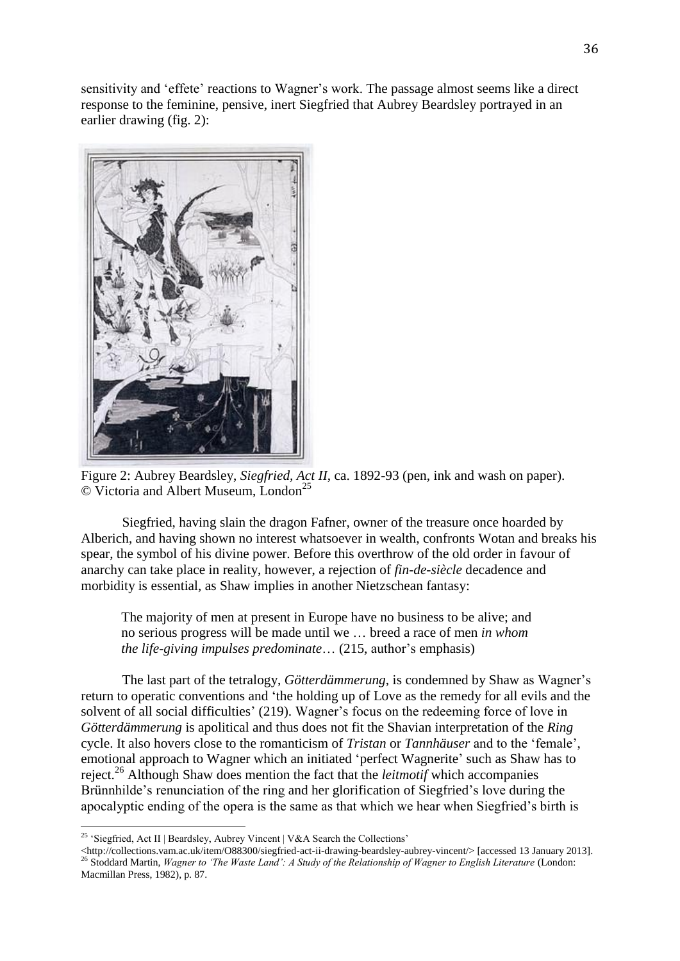sensitivity and 'effete' reactions to Wagner's work. The passage almost seems like a direct response to the feminine, pensive, inert Siegfried that Aubrey Beardsley portrayed in an earlier drawing (fig. 2):



Figure 2: Aubrey Beardsley, *Siegfried, Act II*, ca. 1892-93 (pen, ink and wash on paper). © Victoria and Albert Museum, London<sup>25</sup>

Siegfried, having slain the dragon Fafner, owner of the treasure once hoarded by Alberich, and having shown no interest whatsoever in wealth, confronts Wotan and breaks his spear, the symbol of his divine power. Before this overthrow of the old order in favour of anarchy can take place in reality, however, a rejection of *fin-de-siècle* decadence and morbidity is essential, as Shaw implies in another Nietzschean fantasy:

The majority of men at present in Europe have no business to be alive; and no serious progress will be made until we … breed a race of men *in whom the life-giving impulses predominate*… (215, author's emphasis)

The last part of the tetralogy, *Götterdämmerung*, is condemned by Shaw as Wagner's return to operatic conventions and 'the holding up of Love as the remedy for all evils and the solvent of all social difficulties' (219). Wagner's focus on the redeeming force of love in *Götterdämmerung* is apolitical and thus does not fit the Shavian interpretation of the *Ring* cycle. It also hovers close to the romanticism of *Tristan* or *Tannhäuser* and to the 'female', emotional approach to Wagner which an initiated 'perfect Wagnerite' such as Shaw has to reject.<sup>26</sup> Although Shaw does mention the fact that the *leitmotif* which accompanies Brünnhilde's renunciation of the ring and her glorification of Siegfried's love during the apocalyptic ending of the opera is the same as that which we hear when Siegfried's birth is

 $\overline{a}$ <sup>25</sup> 'Siegfried, Act II | Beardsley, Aubrey Vincent | V&A Search the Collections'

<sup>&</sup>lt;http://collections.vam.ac.uk/item/O88300/siegfried-act-ii-drawing-beardsley-aubrey-vincent/> [accessed 13 January 2013]. <sup>26</sup> Stoddard Martin, *Wagner to 'The Waste Land' A Study of the Relationship of Wagner to English Literature* (London: Macmillan Press, 1982), p. 87.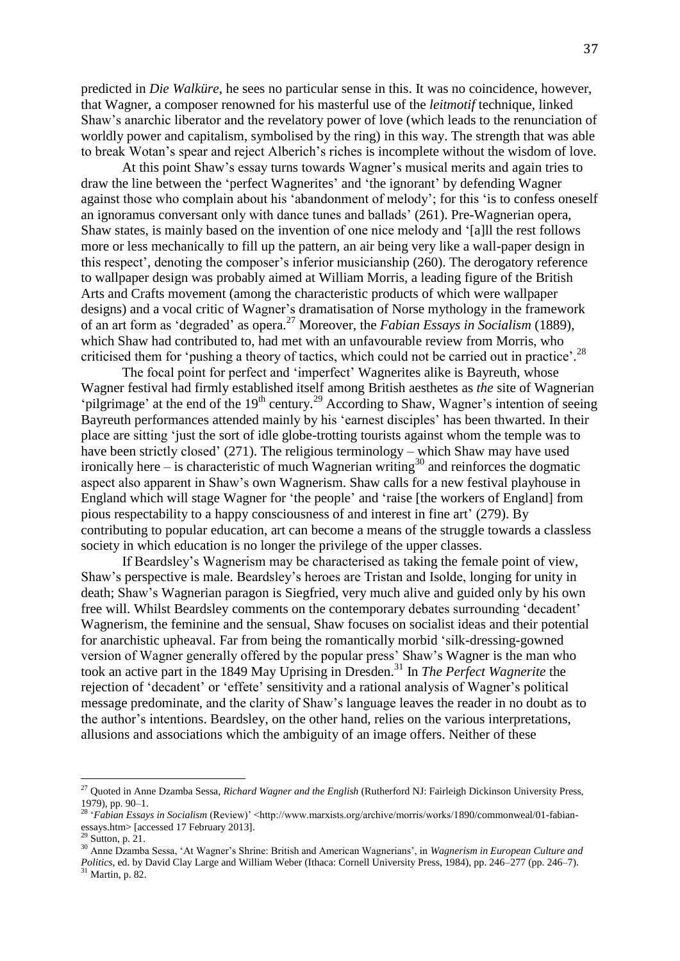predicted in *Die Walküre*, he sees no particular sense in this. It was no coincidence, however, that Wagner, a composer renowned for his masterful use of the *leitmotif* technique, linked Shaw's anarchic liberator and the revelatory power of love (which leads to the renunciation of worldly power and capitalism, symbolised by the ring) in this way. The strength that was able to break Wotan's spear and reject Alberich's riches is incomplete without the wisdom of love.

At this point Shaw's essay turns towards Wagner's musical merits and again tries to draw the line between the 'perfect Wagnerites' and 'the ignorant' by defending Wagner against those who complain about his 'abandonment of melody'; for this 'is to confess oneself an ignoramus conversant only with dance tunes and ballads' (261). Pre-Wagnerian opera, Shaw states, is mainly based on the invention of one nice melody and '[a]ll the rest follows more or less mechanically to fill up the pattern, an air being very like a wall-paper design in this respect', denoting the composer's inferior musicianship (260). The derogatory reference to wallpaper design was probably aimed at William Morris, a leading figure of the British Arts and Crafts movement (among the characteristic products of which were wallpaper designs) and a vocal critic of Wagner's dramatisation of Norse mythology in the framework of an art form as 'degraded' as opera. <sup>27</sup> Moreover, the *Fabian Essays in Socialism* (1889), which Shaw had contributed to, had met with an unfavourable review from Morris, who criticised them for 'pushing a theory of tactics, which could not be carried out in practice'.<sup>28</sup>

The focal point for perfect and 'imperfect' Wagnerites alike is Bayreuth, whose Wagner festival had firmly established itself among British aesthetes as *the* site of Wagnerian 'pilgrimage' at the end of the 19<sup>th</sup> century.<sup>29</sup> According to Shaw, Wagner's intention of seeing Bayreuth performances attended mainly by his 'earnest disciples' has been thwarted. In their place are sitting 'just the sort of idle globe-trotting tourists against whom the temple was to have been strictly closed' (271). The religious terminology – which Shaw may have used ironically here – is characteristic of much Wagnerian writing<sup>30</sup> and reinforces the dogmatic aspect also apparent in Shaw's own Wagnerism. Shaw calls for a new festival playhouse in England which will stage Wagner for 'the people' and 'raise [the workers of England] from pious respectability to a happy consciousness of and interest in fine art' (279). By contributing to popular education, art can become a means of the struggle towards a classless society in which education is no longer the privilege of the upper classes.

If Beardsley's Wagnerism may be characterised as taking the female point of view, Shaw's perspective is male. Beardsley's heroes are Tristan and Isolde, longing for unity in death; Shaw's Wagnerian paragon is Siegfried, very much alive and guided only by his own free will. Whilst Beardsley comments on the contemporary debates surrounding 'decadent' Wagnerism, the feminine and the sensual, Shaw focuses on socialist ideas and their potential for anarchistic upheaval. Far from being the romantically morbid 'silk-dressing-gowned version of Wagner generally offered by the popular press' Shaw's Wagner is the man who took an active part in the 1849 May Uprising in Dresden.<sup>31</sup> In *The Perfect Wagnerite* the rejection of 'decadent' or 'effete' sensitivity and a rational analysis of Wagner's political message predominate, and the clarity of Shaw's language leaves the reader in no doubt as to the author's intentions. Beardsley, on the other hand, relies on the various interpretations, allusions and associations which the ambiguity of an image offers. Neither of these

<sup>27</sup> Quoted in Anne Dzamba Sessa, *Richard Wagner and the English* (Rutherford NJ: Fairleigh Dickinson University Press, 1979), pp. 90–1.

<sup>28</sup> '*Fabian Essays in Socialism* (Review)' <http://www.marxists.org/archive/morris/works/1890/commonweal/01-fabianessays.htm> [accessed 17 February 2013].

 $29$  Sutton, p. 21.

<sup>30</sup> Anne Dzamba Sessa, 'At Wagner's Shrine: British and American Wagnerians', in *Wagnerism in European Culture and Politics*, ed. by David Clay Large and William Weber (Ithaca: Cornell University Press, 1984), pp. 246–277 (pp. 246–7).

<sup>31</sup> Martin, p. 82.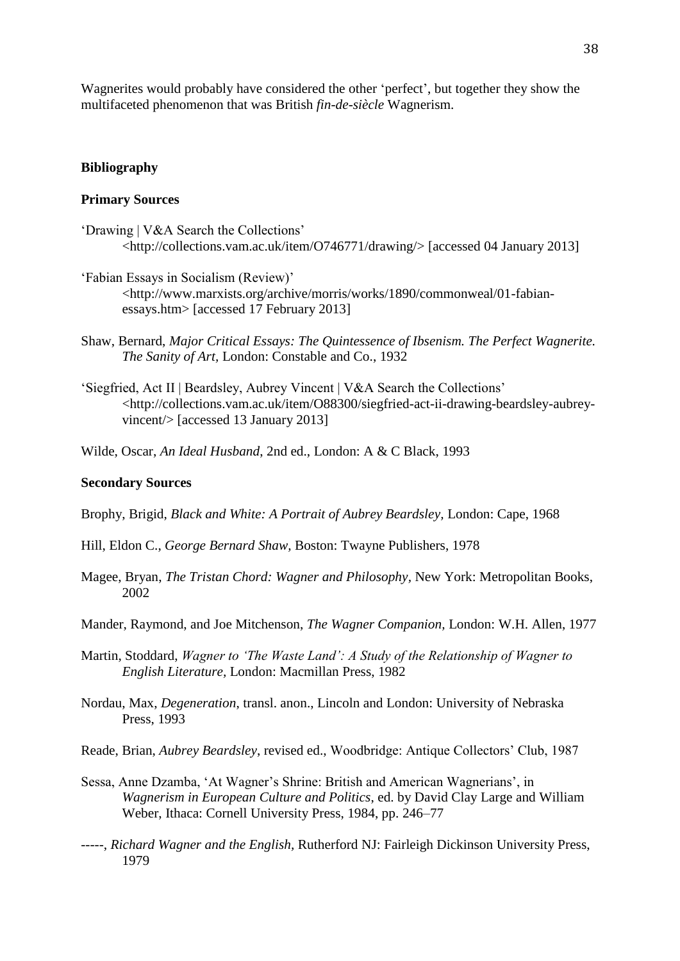Wagnerites would probably have considered the other 'perfect', but together they show the multifaceted phenomenon that was British *fin-de-siècle* Wagnerism.

## **Bibliography**

## **Primary Sources**

- 'Drawing | V&A Search the Collections' <http://collections.vam.ac.uk/item/O746771/drawing/> [accessed 04 January 2013]
- 'Fabian Essays in Socialism (Review)' <http://www.marxists.org/archive/morris/works/1890/commonweal/01-fabianessays.htm> [accessed 17 February 2013]
- Shaw, Bernard, *Major Critical Essays: The Quintessence of Ibsenism. The Perfect Wagnerite. The Sanity of Art,* London: Constable and Co., 1932
- 'Siegfried, Act II | Beardsley, Aubrey Vincent | V&A Search the Collections' <http://collections.vam.ac.uk/item/O88300/siegfried-act-ii-drawing-beardsley-aubreyvincent/> [accessed 13 January 2013]
- Wilde, Oscar, *An Ideal Husband*, 2nd ed., London: A & C Black, 1993

## **Secondary Sources**

Brophy, Brigid, *Black and White: A Portrait of Aubrey Beardsley,* London: Cape, 1968

- Hill, Eldon C., *George Bernard Shaw,* Boston: Twayne Publishers, 1978
- Magee, Bryan, *The Tristan Chord: Wagner and Philosophy,* New York: Metropolitan Books, 2002
- Mander, Raymond, and Joe Mitchenson, *The Wagner Companion,* London: W.H. Allen, 1977
- Martin, Stoddard, *Wagner to 'The Waste Land' A Study of the Relationship of Wagner to English Literature,* London: Macmillan Press, 1982
- Nordau, Max, *Degeneration*, transl. anon., Lincoln and London: University of Nebraska Press, 1993
- Reade, Brian, *Aubrey Beardsley*, revised ed., Woodbridge: Antique Collectors' Club, 1987
- Sessa, Anne Dzamba, 'At Wagner's Shrine: British and American Wagnerians', in *Wagnerism in European Culture and Politics*, ed. by David Clay Large and William Weber, Ithaca: Cornell University Press, 1984, pp. 246–77
- -----, *Richard Wagner and the English,* Rutherford NJ: Fairleigh Dickinson University Press, 1979